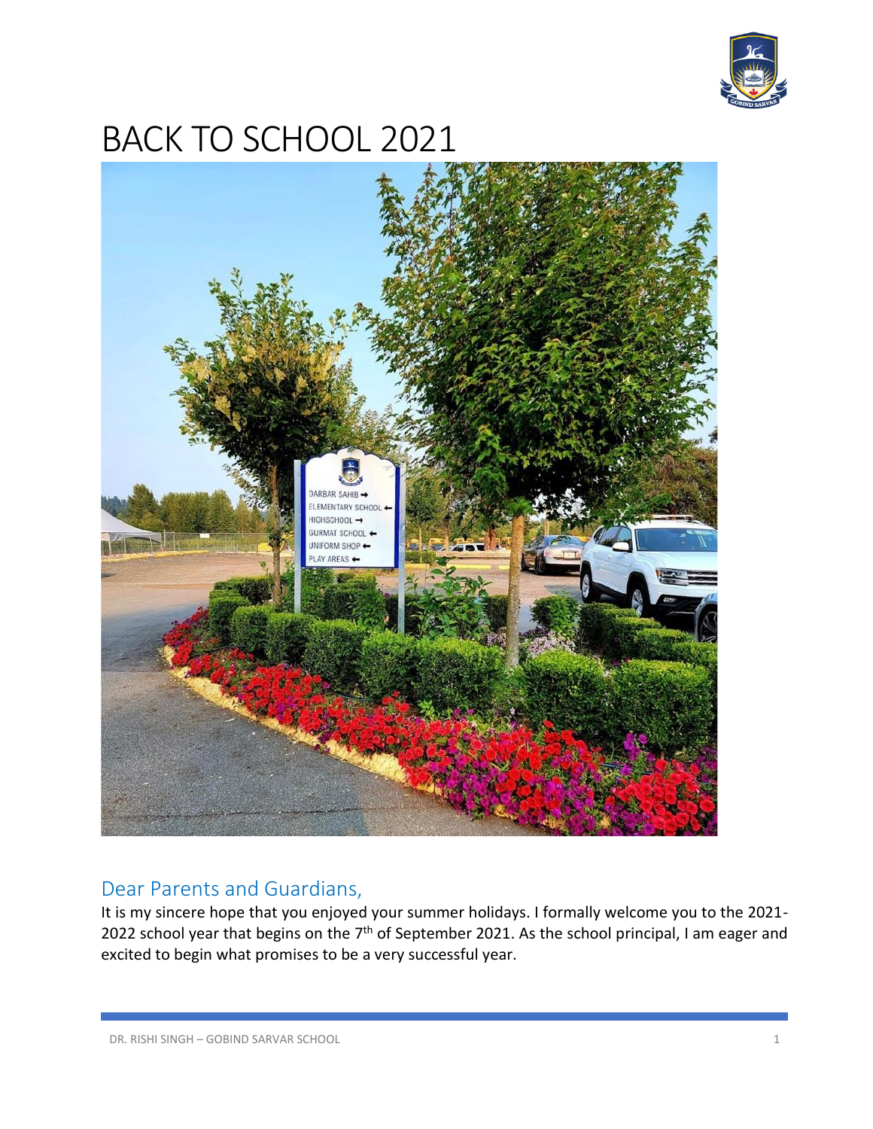

# BACK TO SCHOOL 2021



# Dear Parents and Guardians,

It is my sincere hope that you enjoyed your summer holidays. I formally welcome you to the 2021- 2022 school year that begins on the  $7<sup>th</sup>$  of September 2021. As the school principal, I am eager and excited to begin what promises to be a very successful year.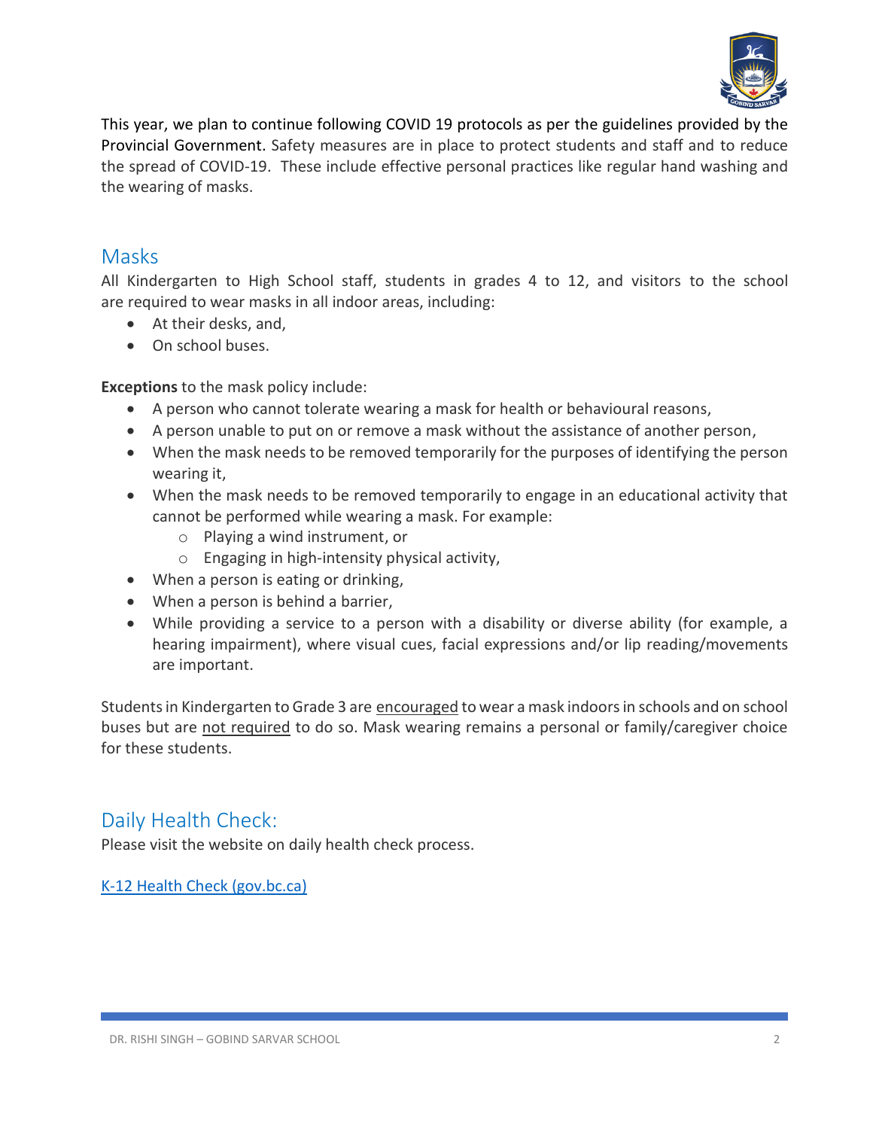

This year, we plan to continue following COVID 19 protocols as per the guidelines provided by the Provincial Government. Safety measures are in place to protect students and staff and to reduce the spread of COVID-19. These include effective personal practices like regular hand washing and the wearing of masks.

## **Masks**

All Kindergarten to High School staff, students in grades 4 to 12, and visitors to the school are required to wear masks in all indoor areas, including:

- At their desks, and,
- On school buses.

**Exceptions** to the mask policy include:

- A person who cannot tolerate wearing a mask for health or behavioural reasons,
- A person unable to put on or remove a mask without the assistance of another person,
- When the mask needs to be removed temporarily for the purposes of identifying the person wearing it,
- When the mask needs to be removed temporarily to engage in an educational activity that cannot be performed while wearing a mask. For example:
	- o Playing a wind instrument, or
	- o Engaging in high-intensity physical activity,
- When a person is eating or drinking,
- When a person is behind a barrier,
- While providing a service to a person with a disability or diverse ability (for example, a hearing impairment), where visual cues, facial expressions and/or lip reading/movements are important.

Students in Kindergarten to Grade 3 are encouraged to wear a mask indoors in schools and on school buses but are not required to do so. Mask wearing remains a personal or family/caregiver choice for these students.

# Daily Health Check:

Please visit the website on daily health check process.

[K-12 Health Check \(gov.bc.ca\)](https://na01.safelinks.protection.outlook.com/?url=https%3A%2F%2Fwww.k12dailycheck.gov.bc.ca%2Fhealthcheck%3Fexecution%3De1s1&data=04%7C01%7C%7Cf2520205d9ff4c1dc6ef08d96f43a660%7C84df9e7fe9f640afb435aaaaaaaaaaaa%7C1%7C0%7C637663158621206176%7CUnknown%7CTWFpbGZsb3d8eyJWIjoiMC4wLjAwMDAiLCJQIjoiV2luMzIiLCJBTiI6Ik1haWwiLCJXVCI6Mn0%3D%7C1000&sdata=xepQRm%2F81sUYoHRmwqL7NgSBTN14%2BBydSK3urjmUc%2Fo%3D&reserved=0)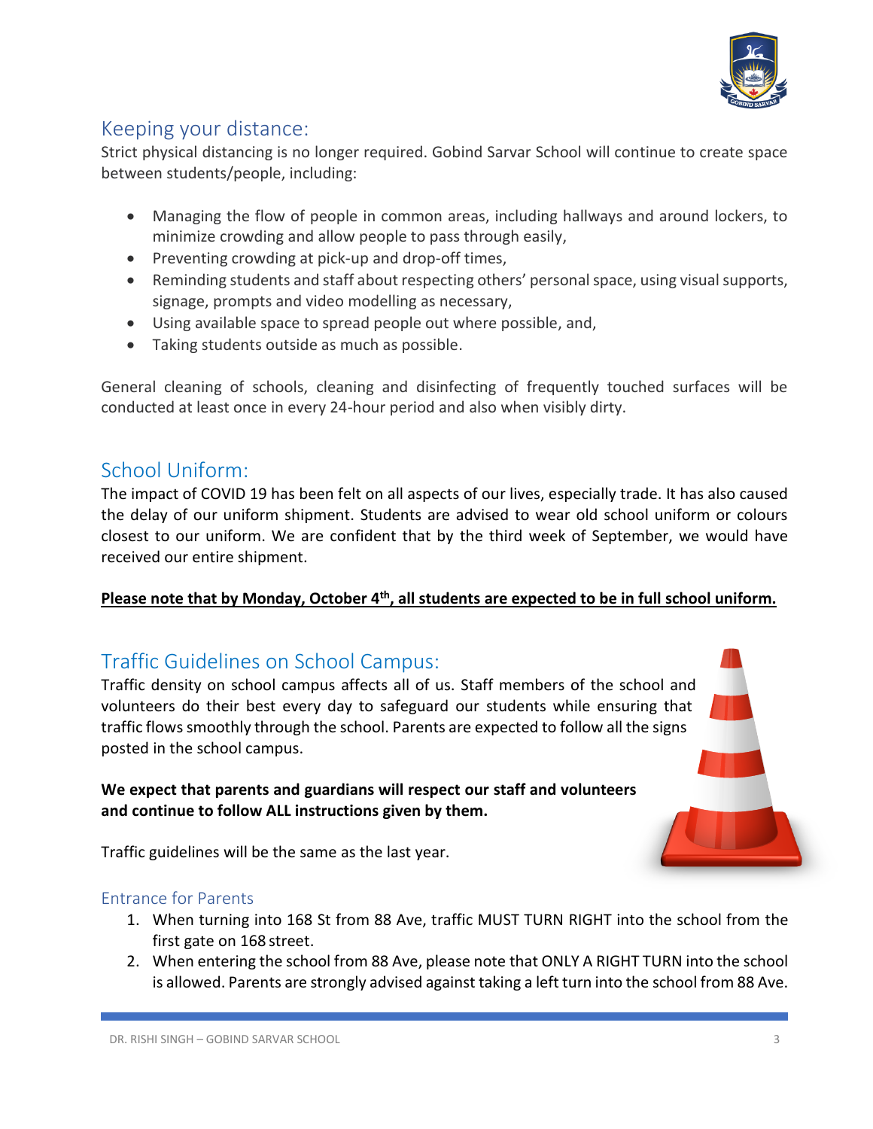

# Keeping your distance:

Strict physical distancing is no longer required. Gobind Sarvar School will continue to create space between students/people, including:

- Managing the flow of people in common areas, including hallways and around lockers, to minimize crowding and allow people to pass through easily,
- Preventing crowding at pick-up and drop-off times,
- Reminding students and staff about respecting others' personal space, using visual supports, signage, prompts and video modelling as necessary,
- Using available space to spread people out where possible, and,
- Taking students outside as much as possible.

General cleaning of schools, cleaning and disinfecting of frequently touched surfaces will be conducted at least once in every 24-hour period and also when visibly dirty.

## School Uniform:

The impact of COVID 19 has been felt on all aspects of our lives, especially trade. It has also caused the delay of our uniform shipment. Students are advised to wear old school uniform or colours closest to our uniform. We are confident that by the third week of September, we would have received our entire shipment.

## **Please note that by Monday, October 4th , all students are expected to be in full school uniform.**

## Traffic Guidelines on School Campus:

Traffic density on school campus affects all of us. Staff members of the school and volunteers do their best every day to safeguard our students while ensuring that traffic flows smoothly through the school. Parents are expected to follow all the signs posted in the school campus.

#### **We expect that parents and guardians will respect our staff and volunteers and continue to follow ALL instructions given by them.**

Traffic guidelines will be the same as the last year.

#### Entrance for Parents

- 1. When turning into 168 St from 88 Ave, traffic MUST TURN RIGHT into the school from the first gate on 168 street.
- 2. When entering the school from 88 Ave, please note that ONLY A RIGHT TURN into the school is allowed. Parents are strongly advised against taking a left turn into the school from 88 Ave.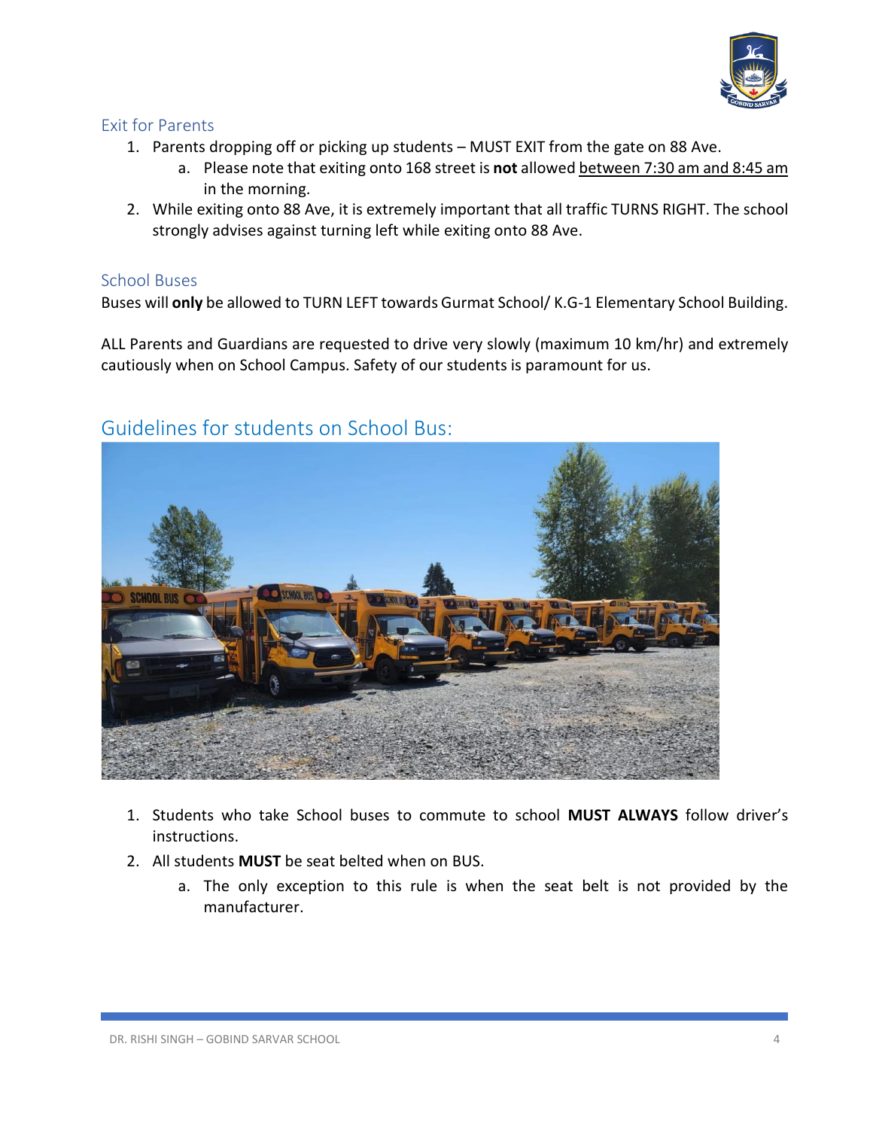

## Exit for Parents

- 1. Parents dropping off or picking up students MUST EXIT from the gate on 88 Ave.
	- a. Please note that exiting onto 168 street is **not** allowed between 7:30 am and 8:45 am in the morning.
- 2. While exiting onto 88 Ave, it is extremely important that all traffic TURNS RIGHT. The school strongly advises against turning left while exiting onto 88 Ave.

## School Buses

Buses will **only** be allowed to TURN LEFT towards Gurmat School/ K.G-1 Elementary School Building.

ALL Parents and Guardians are requested to drive very slowly (maximum 10 km/hr) and extremely cautiously when on School Campus. Safety of our students is paramount for us.



# Guidelines for students on School Bus:

- 1. Students who take School buses to commute to school **MUST ALWAYS** follow driver's instructions.
- 2. All students **MUST** be seat belted when on BUS.
	- a. The only exception to this rule is when the seat belt is not provided by the manufacturer.